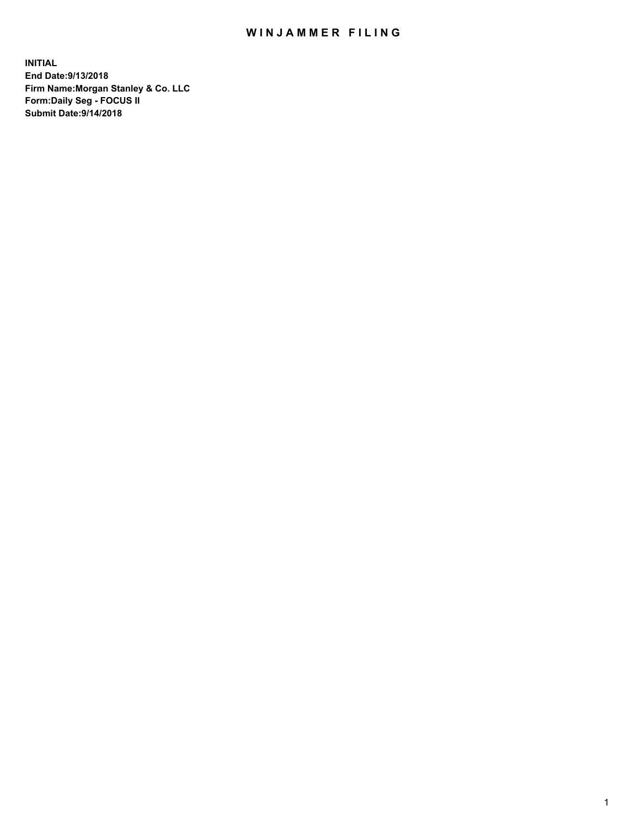## WIN JAMMER FILING

**INITIAL End Date:9/13/2018 Firm Name:Morgan Stanley & Co. LLC Form:Daily Seg - FOCUS II Submit Date:9/14/2018**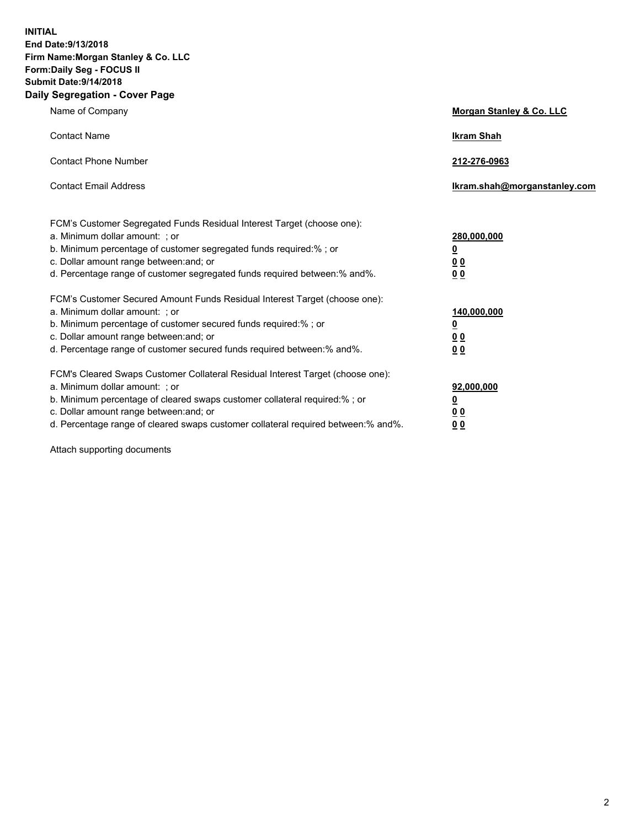**INITIAL End Date:9/13/2018 Firm Name:Morgan Stanley & Co. LLC Form:Daily Seg - FOCUS II Submit Date:9/14/2018 Daily Segregation - Cover Page**

| Name of Company                                                                                                                                                                                                                                                                                                                | Morgan Stanley & Co. LLC                               |
|--------------------------------------------------------------------------------------------------------------------------------------------------------------------------------------------------------------------------------------------------------------------------------------------------------------------------------|--------------------------------------------------------|
| <b>Contact Name</b>                                                                                                                                                                                                                                                                                                            | <b>Ikram Shah</b>                                      |
| <b>Contact Phone Number</b>                                                                                                                                                                                                                                                                                                    | 212-276-0963                                           |
| <b>Contact Email Address</b>                                                                                                                                                                                                                                                                                                   | lkram.shah@morganstanley.com                           |
| FCM's Customer Segregated Funds Residual Interest Target (choose one):<br>a. Minimum dollar amount: ; or<br>b. Minimum percentage of customer segregated funds required:% ; or<br>c. Dollar amount range between: and; or<br>d. Percentage range of customer segregated funds required between:% and%.                         | 280,000,000<br><u>0</u><br><u>0 0</u><br>0 Q           |
| FCM's Customer Secured Amount Funds Residual Interest Target (choose one):<br>a. Minimum dollar amount: ; or<br>b. Minimum percentage of customer secured funds required:%; or<br>c. Dollar amount range between: and; or<br>d. Percentage range of customer secured funds required between:% and%.                            | 140,000,000<br><u>0</u><br><u>00</u><br>0 <sub>0</sub> |
| FCM's Cleared Swaps Customer Collateral Residual Interest Target (choose one):<br>a. Minimum dollar amount: ; or<br>b. Minimum percentage of cleared swaps customer collateral required:% ; or<br>c. Dollar amount range between: and; or<br>d. Percentage range of cleared swaps customer collateral required between:% and%. | 92,000,000<br><u>0</u><br><u>00</u><br>0 <sup>0</sup>  |

Attach supporting documents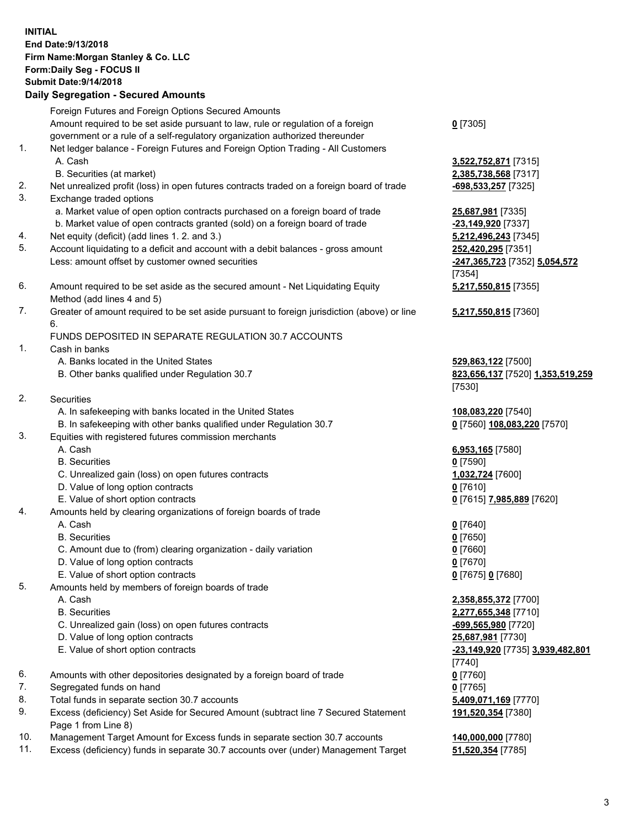## **INITIAL End Date:9/13/2018 Firm Name:Morgan Stanley & Co. LLC Form:Daily Seg - FOCUS II Submit Date:9/14/2018 Daily Segregation - Secured Amounts**

Foreign Futures and Foreign Options Secured Amounts Amount required to be set aside pursuant to law, rule or regulation of a foreign government or a rule of a self-regulatory organization authorized thereunder 1. Net ledger balance - Foreign Futures and Foreign Option Trading - All Customers A. Cash **3,522,752,871** [7315] B. Securities (at market) **2,385,738,568** [7317] 2. Net unrealized profit (loss) in open futures contracts traded on a foreign board of trade **-698,533,257** [7325] 3. Exchange traded options a. Market value of open option contracts purchased on a foreign board of trade **25,687,981** [7335] b. Market value of open contracts granted (sold) on a foreign board of trade **-23,149,920** [7337] 4. Net equity (deficit) (add lines 1. 2. and 3.) **5,212,496,243** [7345] 5. Account liquidating to a deficit and account with a debit balances - gross amount **252,420,295** [7351] Less: amount offset by customer owned securities **-247,365,723** [7352] **5,054,572** 6. Amount required to be set aside as the secured amount - Net Liquidating Equity Method (add lines 4 and 5) 7. Greater of amount required to be set aside pursuant to foreign jurisdiction (above) or line 6.

## FUNDS DEPOSITED IN SEPARATE REGULATION 30.7 ACCOUNTS

- 1. Cash in banks
	- A. Banks located in the United States **529,863,122** [7500]
	- B. Other banks qualified under Regulation 30.7 **823,656,137** [7520] **1,353,519,259**
- 2. Securities
	- A. In safekeeping with banks located in the United States **108,083,220** [7540]
	- B. In safekeeping with other banks qualified under Regulation 30.7 **0** [7560] **108,083,220** [7570]
- 3. Equities with registered futures commission merchants
	-
	- B. Securities **0** [7590]
	- C. Unrealized gain (loss) on open futures contracts **1,032,724** [7600]
	- D. Value of long option contracts **0** [7610]
- 
- 4. Amounts held by clearing organizations of foreign boards of trade
	-
	- B. Securities **0** [7650]
	- C. Amount due to (from) clearing organization daily variation **0** [7660]
	- D. Value of long option contracts **0** [7670]
	- E. Value of short option contracts **0** [7675] **0** [7680]
- 5. Amounts held by members of foreign boards of trade
	-
	-
	- C. Unrealized gain (loss) on open futures contracts **-699,565,980** [7720]
	- D. Value of long option contracts **25,687,981** [7730]
	-
- 6. Amounts with other depositories designated by a foreign board of trade **0** [7760]
- 7. Segregated funds on hand **0** [7765]
- 8. Total funds in separate section 30.7 accounts **5,409,071,169** [7770]
- 9. Excess (deficiency) Set Aside for Secured Amount (subtract line 7 Secured Statement Page 1 from Line 8)
- 10. Management Target Amount for Excess funds in separate section 30.7 accounts **140,000,000** [7780]
- 11. Excess (deficiency) funds in separate 30.7 accounts over (under) Management Target **51,520,354** [7785]

**0** [7305]

[7354] **5,217,550,815** [7355]

**5,217,550,815** [7360]

[7530]

 A. Cash **6,953,165** [7580] E. Value of short option contracts **0** [7615] **7,985,889** [7620]

A. Cash **0** [7640]

 A. Cash **2,358,855,372** [7700] B. Securities **2,277,655,348** [7710] E. Value of short option contracts **-23,149,920** [7735] **3,939,482,801** [7740] **191,520,354** [7380]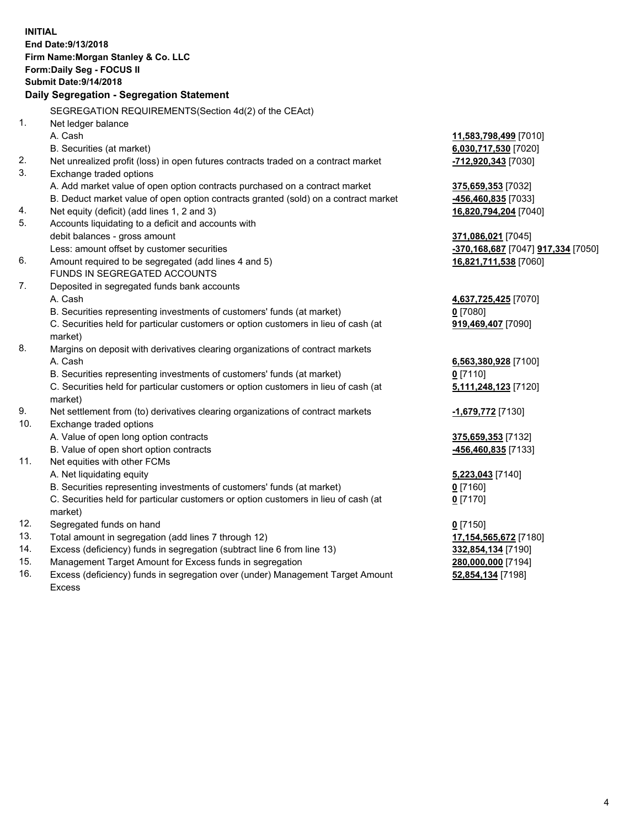**INITIAL End Date:9/13/2018 Firm Name:Morgan Stanley & Co. LLC Form:Daily Seg - FOCUS II Submit Date:9/14/2018 Daily Segregation - Segregation Statement** SEGREGATION REQUIREMENTS(Section 4d(2) of the CEAct) 1. Net ledger balance A. Cash **11,583,798,499** [7010] B. Securities (at market) **6,030,717,530** [7020] 2. Net unrealized profit (loss) in open futures contracts traded on a contract market **-712,920,343** [7030] 3. Exchange traded options A. Add market value of open option contracts purchased on a contract market **375,659,353** [7032] B. Deduct market value of open option contracts granted (sold) on a contract market **-456,460,835** [7033] 4. Net equity (deficit) (add lines 1, 2 and 3) **16,820,794,204** [7040] 5. Accounts liquidating to a deficit and accounts with debit balances - gross amount **371,086,021** [7045] Less: amount offset by customer securities **-370,168,687** [7047] **917,334** [7050] 6. Amount required to be segregated (add lines 4 and 5) **16,821,711,538** [7060] FUNDS IN SEGREGATED ACCOUNTS 7. Deposited in segregated funds bank accounts A. Cash **4,637,725,425** [7070] B. Securities representing investments of customers' funds (at market) **0** [7080] C. Securities held for particular customers or option customers in lieu of cash (at market) **919,469,407** [7090] 8. Margins on deposit with derivatives clearing organizations of contract markets A. Cash **6,563,380,928** [7100] B. Securities representing investments of customers' funds (at market) **0** [7110] C. Securities held for particular customers or option customers in lieu of cash (at market) **5,111,248,123** [7120] 9. Net settlement from (to) derivatives clearing organizations of contract markets **-1,679,772** [7130] 10. Exchange traded options A. Value of open long option contracts **375,659,353** [7132] B. Value of open short option contracts **-456,460,835** [7133] 11. Net equities with other FCMs A. Net liquidating equity **5,223,043** [7140] B. Securities representing investments of customers' funds (at market) **0** [7160] C. Securities held for particular customers or option customers in lieu of cash (at market) **0** [7170] 12. Segregated funds on hand **0** [7150] 13. Total amount in segregation (add lines 7 through 12) **17,154,565,672** [7180] 14. Excess (deficiency) funds in segregation (subtract line 6 from line 13) **332,854,134** [7190] 15. Management Target Amount for Excess funds in segregation **280,000,000** [7194] **52,854,134** [7198]

16. Excess (deficiency) funds in segregation over (under) Management Target Amount Excess